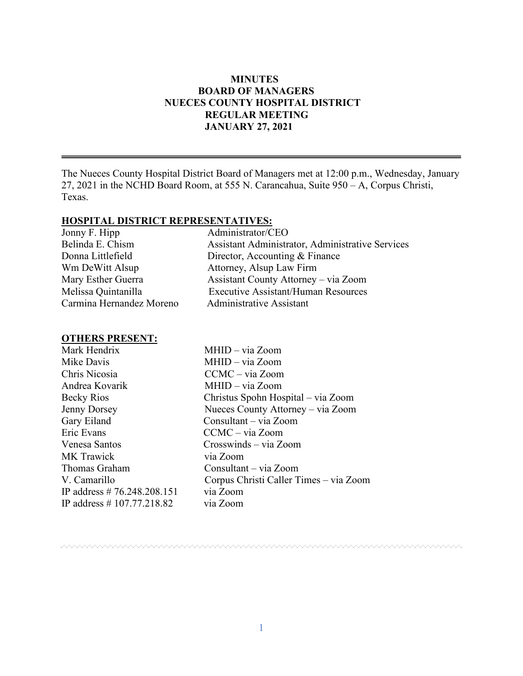#### **MINUTES BOARD OF MANAGERS NUECES COUNTY HOSPITAL DISTRICT REGULAR MEETING JANUARY 27, 2021**

The Nueces County Hospital District Board of Managers met at 12:00 p.m., Wednesday, January 27, 2021 in the NCHD Board Room, at 555 N. Carancahua, Suite 950 – A, Corpus Christi, Texas.

#### **HOSPITAL DISTRICT REPRESENTATIVES:**

| Jonny F. Hipp            | Administrator/CEO                                |
|--------------------------|--------------------------------------------------|
| Belinda E. Chism         | Assistant Administrator, Administrative Services |
| Donna Littlefield        | Director, Accounting & Finance                   |
| Wm DeWitt Alsup          | Attorney, Alsup Law Firm                         |
| Mary Esther Guerra       | Assistant County Attorney - via Zoom             |
| Melissa Quintanilla      | <b>Executive Assistant/Human Resources</b>       |
| Carmina Hernandez Moreno | <b>Administrative Assistant</b>                  |

#### **OTHERS PRESENT:**

| Mark Hendrix                  | MHID - via Zoom                        |
|-------------------------------|----------------------------------------|
| Mike Davis                    | MHID - via Zoom                        |
| Chris Nicosia                 | CCMC – via Zoom                        |
| Andrea Kovarik                | $MHID - via Zoom$                      |
| Becky Rios                    | Christus Spohn Hospital - via Zoom     |
| <b>Jenny Dorsey</b>           | Nueces County Attorney - via Zoom      |
| Gary Eiland                   | Consultant – via Zoom                  |
| Eric Evans                    | $CCMC - via Zoom$                      |
| Venesa Santos                 | Crosswinds – via Zoom                  |
| <b>MK</b> Trawick             | via Zoom                               |
| Thomas Graham                 | Consultant – via Zoom                  |
| V. Camarillo                  | Corpus Christi Caller Times - via Zoom |
| IP address # $76.248.208.151$ | via Zoom                               |
| IP address $\# 107.77.218.82$ | via Zoom                               |
|                               |                                        |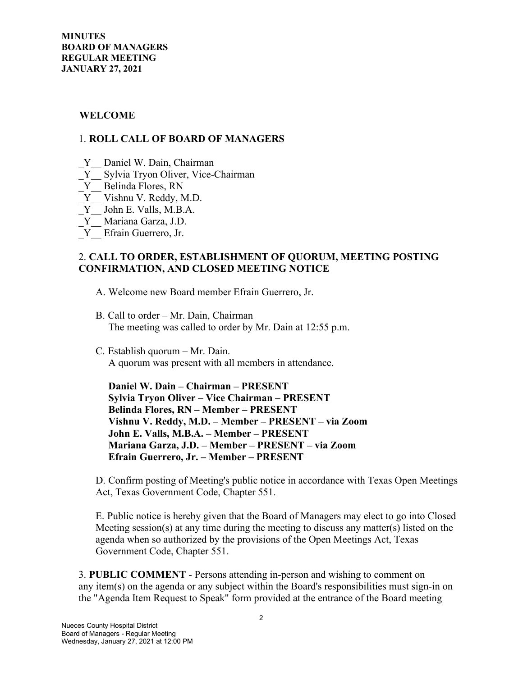#### **WELCOME**

#### 1. **ROLL CALL OF BOARD OF MANAGERS**

- Y Daniel W. Dain, Chairman
- \_Y\_\_ Sylvia Tryon Oliver, Vice-Chairman
- Y Belinda Flores, RN
- $\overline{Y}$  Vishnu V. Reddy, M.D.
- \_Y\_\_ John E. Valls, M.B.A.
- \_Y\_\_ Mariana Garza, J.D.
- Y Efrain Guerrero, Jr.

#### 2. **CALL TO ORDER, ESTABLISHMENT OF QUORUM, MEETING POSTING CONFIRMATION, AND CLOSED MEETING NOTICE**

- A. Welcome new Board member Efrain Guerrero, Jr.
- B. Call to order Mr. Dain, Chairman The meeting was called to order by Mr. Dain at 12:55 p.m.
- C. Establish quorum Mr. Dain. A quorum was present with all members in attendance.

 **Daniel W. Dain – Chairman – PRESENT Sylvia Tryon Oliver – Vice Chairman – PRESENT Belinda Flores, RN – Member – PRESENT Vishnu V. Reddy, M.D. – Member – PRESENT – via Zoom John E. Valls, M.B.A. – Member – PRESENT Mariana Garza, J.D. – Member – PRESENT – via Zoom Efrain Guerrero, Jr. – Member – PRESENT** 

D. Confirm posting of Meeting's public notice in accordance with Texas Open Meetings Act, Texas Government Code, Chapter 551.

E. Public notice is hereby given that the Board of Managers may elect to go into Closed Meeting session(s) at any time during the meeting to discuss any matter(s) listed on the agenda when so authorized by the provisions of the Open Meetings Act, Texas Government Code, Chapter 551.

3. **PUBLIC COMMENT** - Persons attending in-person and wishing to comment on any item(s) on the agenda or any subject within the Board's responsibilities must sign-in on the "Agenda Item Request to Speak" form provided at the entrance of the Board meeting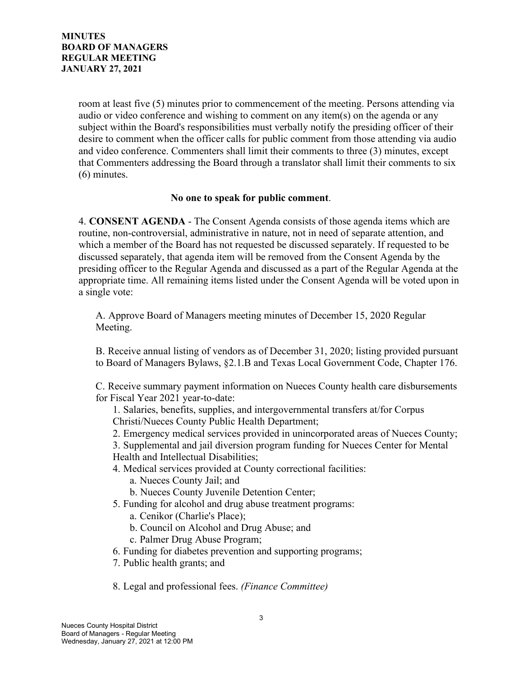room at least five (5) minutes prior to commencement of the meeting. Persons attending via audio or video conference and wishing to comment on any item(s) on the agenda or any subject within the Board's responsibilities must verbally notify the presiding officer of their desire to comment when the officer calls for public comment from those attending via audio and video conference. Commenters shall limit their comments to three (3) minutes, except that Commenters addressing the Board through a translator shall limit their comments to six (6) minutes.

#### **No one to speak for public comment**.

4. **CONSENT AGENDA** - The Consent Agenda consists of those agenda items which are routine, non-controversial, administrative in nature, not in need of separate attention, and which a member of the Board has not requested be discussed separately. If requested to be discussed separately, that agenda item will be removed from the Consent Agenda by the presiding officer to the Regular Agenda and discussed as a part of the Regular Agenda at the appropriate time. All remaining items listed under the Consent Agenda will be voted upon in a single vote:

A. Approve Board of Managers meeting minutes of December 15, 2020 Regular Meeting.

B. Receive annual listing of vendors as of December 31, 2020; listing provided pursuant to Board of Managers Bylaws, §2.1.B and Texas Local Government Code, Chapter 176.

C. Receive summary payment information on Nueces County health care disbursements for Fiscal Year 2021 year-to-date:

1. Salaries, benefits, supplies, and intergovernmental transfers at/for Corpus

Christi/Nueces County Public Health Department;

2. Emergency medical services provided in unincorporated areas of Nueces County;

3. Supplemental and jail diversion program funding for Nueces Center for Mental Health and Intellectual Disabilities;

4. Medical services provided at County correctional facilities:

a. Nueces County Jail; and

b. Nueces County Juvenile Detention Center;

- 5. Funding for alcohol and drug abuse treatment programs:
	- a. Cenikor (Charlie's Place);
	- b. Council on Alcohol and Drug Abuse; and
	- c. Palmer Drug Abuse Program;
- 6. Funding for diabetes prevention and supporting programs;
- 7. Public health grants; and

8. Legal and professional fees. *(Finance Committee)*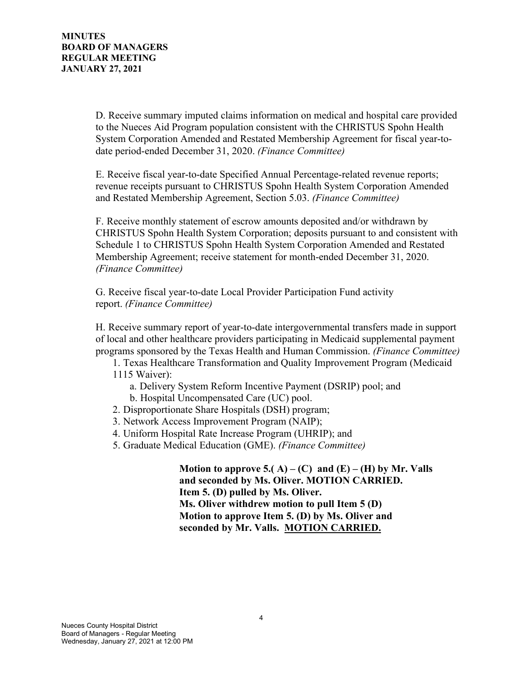D. Receive summary imputed claims information on medical and hospital care provided to the Nueces Aid Program population consistent with the CHRISTUS Spohn Health System Corporation Amended and Restated Membership Agreement for fiscal year-todate period-ended December 31, 2020. *(Finance Committee)*

E. Receive fiscal year-to-date Specified Annual Percentage-related revenue reports; revenue receipts pursuant to CHRISTUS Spohn Health System Corporation Amended and Restated Membership Agreement, Section 5.03. *(Finance Committee)*

F. Receive monthly statement of escrow amounts deposited and/or withdrawn by CHRISTUS Spohn Health System Corporation; deposits pursuant to and consistent with Schedule 1 to CHRISTUS Spohn Health System Corporation Amended and Restated Membership Agreement; receive statement for month-ended December 31, 2020. *(Finance Committee)*

G. Receive fiscal year-to-date Local Provider Participation Fund activity report. *(Finance Committee)*

H. Receive summary report of year-to-date intergovernmental transfers made in support of local and other healthcare providers participating in Medicaid supplemental payment programs sponsored by the Texas Health and Human Commission. *(Finance Committee)*

1. Texas Healthcare Transformation and Quality Improvement Program (Medicaid 1115 Waiver):

- a. Delivery System Reform Incentive Payment (DSRIP) pool; and
- b. Hospital Uncompensated Care (UC) pool.
- 2. Disproportionate Share Hospitals (DSH) program;
- 3. Network Access Improvement Program (NAIP);
- 4. Uniform Hospital Rate Increase Program (UHRIP); and
- 5. Graduate Medical Education (GME). *(Finance Committee)*

**Motion to approve 5.(** A) – **(C)** and **(E)** – **(H)** by Mr. Valls  **and seconded by Ms. Oliver. MOTION CARRIED. Item 5. (D) pulled by Ms. Oliver. Ms. Oliver withdrew motion to pull Item 5 (D) Motion to approve Item 5. (D) by Ms. Oliver and seconded by Mr. Valls. MOTION CARRIED.**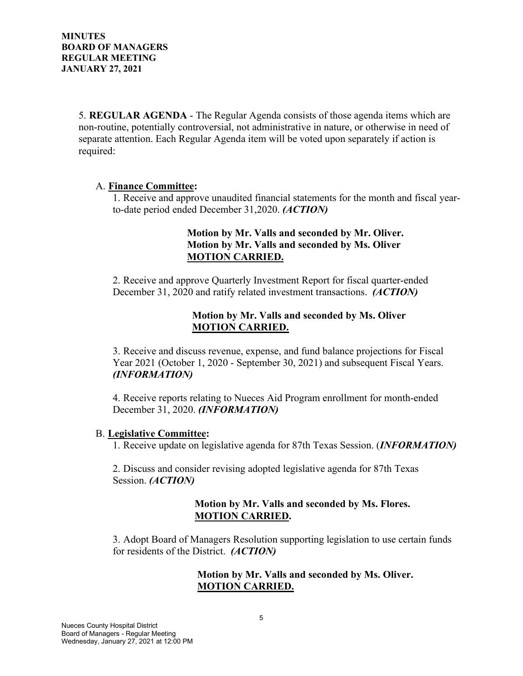5. **REGULAR AGENDA** - The Regular Agenda consists of those agenda items which are non-routine, potentially controversial, not administrative in nature, or otherwise in need of separate attention. Each Regular Agenda item will be voted upon separately if action is required:

#### A. **Finance Committee:**

1. Receive and approve unaudited financial statements for the month and fiscal yearto-date period ended December 31,2020. *(ACTION)*

### **Motion by Mr. Valls and seconded by Mr. Oliver.**  **Motion by Mr. Valls and seconded by Ms. Oliver MOTION CARRIED.**

2. Receive and approve Quarterly Investment Report for fiscal quarter-ended December 31, 2020 and ratify related investment transactions. *(ACTION)*

### **Motion by Mr. Valls and seconded by Ms. Oliver MOTION CARRIED.**

3. Receive and discuss revenue, expense, and fund balance projections for Fiscal Year 2021 (October 1, 2020 - September 30, 2021) and subsequent Fiscal Years. *(INFORMATION)*

4. Receive reports relating to Nueces Aid Program enrollment for month-ended December 31, 2020. *(INFORMATION)*

#### B. **Legislative Committee:**

1. Receive update on legislative agenda for 87th Texas Session. (*INFORMATION)*

2. Discuss and consider revising adopted legislative agenda for 87th Texas Session. *(ACTION)*

#### **Motion by Mr. Valls and seconded by Ms. Flores. MOTION CARRIED.**

3. Adopt Board of Managers Resolution supporting legislation to use certain funds for residents of the District. *(ACTION)*

### **Motion by Mr. Valls and seconded by Ms. Oliver. MOTION CARRIED.**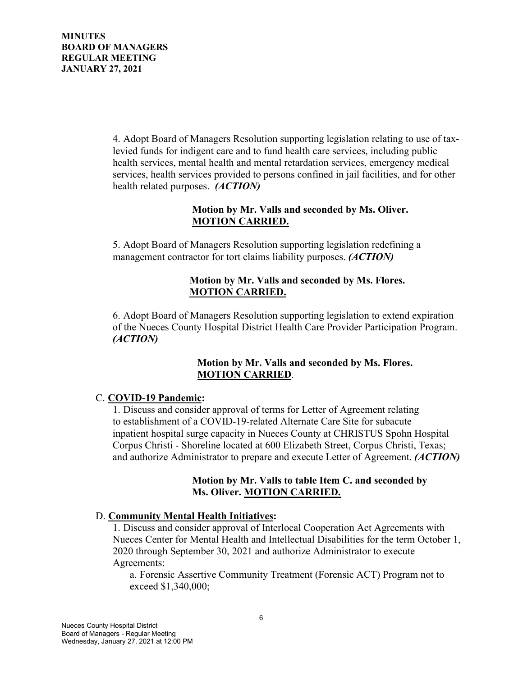4. Adopt Board of Managers Resolution supporting legislation relating to use of taxlevied funds for indigent care and to fund health care services, including public health services, mental health and mental retardation services, emergency medical services, health services provided to persons confined in jail facilities, and for other health related purposes. *(ACTION)*

### **Motion by Mr. Valls and seconded by Ms. Oliver. MOTION CARRIED.**

5. Adopt Board of Managers Resolution supporting legislation redefining a management contractor for tort claims liability purposes. *(ACTION)*

## **Motion by Mr. Valls and seconded by Ms. Flores. MOTION CARRIED.**

6. Adopt Board of Managers Resolution supporting legislation to extend expiration of the Nueces County Hospital District Health Care Provider Participation Program. *(ACTION)*

### **Motion by Mr. Valls and seconded by Ms. Flores. MOTION CARRIED**.

# C. **COVID-19 Pandemic:**

1. Discuss and consider approval of terms for Letter of Agreement relating to establishment of a COVID-19-related Alternate Care Site for subacute inpatient hospital surge capacity in Nueces County at CHRISTUS Spohn Hospital Corpus Christi - Shoreline located at 600 Elizabeth Street, Corpus Christi, Texas; and authorize Administrator to prepare and execute Letter of Agreement. *(ACTION)*

### **Motion by Mr. Valls to table Item C. and seconded by Ms. Oliver. MOTION CARRIED.**

### D. **Community Mental Health Initiatives:**

1. Discuss and consider approval of Interlocal Cooperation Act Agreements with Nueces Center for Mental Health and Intellectual Disabilities for the term October 1, 2020 through September 30, 2021 and authorize Administrator to execute Agreements:

a. Forensic Assertive Community Treatment (Forensic ACT) Program not to exceed \$1,340,000;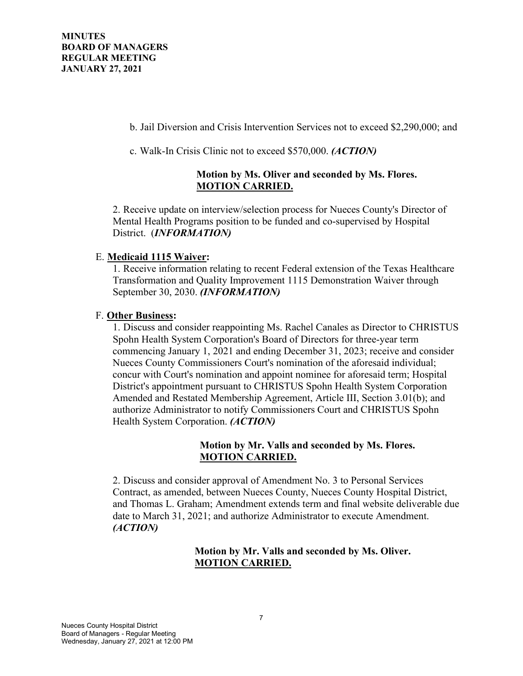b. Jail Diversion and Crisis Intervention Services not to exceed \$2,290,000; and

c. Walk-In Crisis Clinic not to exceed \$570,000. *(ACTION)*

## **Motion by Ms. Oliver and seconded by Ms. Flores. MOTION CARRIED.**

2. Receive update on interview/selection process for Nueces County's Director of Mental Health Programs position to be funded and co-supervised by Hospital District. (*INFORMATION)*

### E. **Medicaid 1115 Waiver:**

1. Receive information relating to recent Federal extension of the Texas Healthcare Transformation and Quality Improvement 1115 Demonstration Waiver through September 30, 2030. *(INFORMATION)*

# F. **Other Business:**

1. Discuss and consider reappointing Ms. Rachel Canales as Director to CHRISTUS Spohn Health System Corporation's Board of Directors for three-year term commencing January 1, 2021 and ending December 31, 2023; receive and consider Nueces County Commissioners Court's nomination of the aforesaid individual; concur with Court's nomination and appoint nominee for aforesaid term; Hospital District's appointment pursuant to CHRISTUS Spohn Health System Corporation Amended and Restated Membership Agreement, Article III, Section 3.01(b); and authorize Administrator to notify Commissioners Court and CHRISTUS Spohn Health System Corporation. *(ACTION)*

### **Motion by Mr. Valls and seconded by Ms. Flores. MOTION CARRIED.**

2. Discuss and consider approval of Amendment No. 3 to Personal Services Contract, as amended, between Nueces County, Nueces County Hospital District, and Thomas L. Graham; Amendment extends term and final website deliverable due date to March 31, 2021; and authorize Administrator to execute Amendment. *(ACTION)*

# **Motion by Mr. Valls and seconded by Ms. Oliver. MOTION CARRIED.**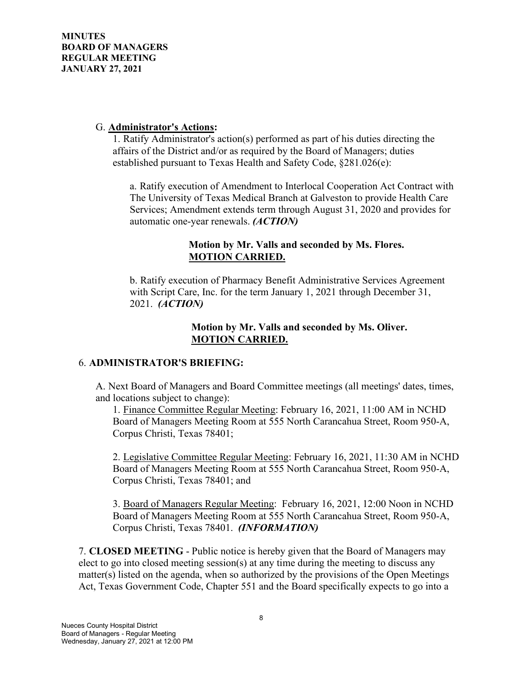#### G. **Administrator's Actions:**

1. Ratify Administrator's action(s) performed as part of his duties directing the affairs of the District and/or as required by the Board of Managers; duties established pursuant to Texas Health and Safety Code, §281.026(e):

a. Ratify execution of Amendment to Interlocal Cooperation Act Contract with The University of Texas Medical Branch at Galveston to provide Health Care Services; Amendment extends term through August 31, 2020 and provides for automatic one-year renewals. *(ACTION)*

### **Motion by Mr. Valls and seconded by Ms. Flores. MOTION CARRIED.**

b. Ratify execution of Pharmacy Benefit Administrative Services Agreement with Script Care, Inc. for the term January 1, 2021 through December 31, 2021. *(ACTION)*

#### **Motion by Mr. Valls and seconded by Ms. Oliver. MOTION CARRIED.**

#### 6. **ADMINISTRATOR'S BRIEFING:**

A. Next Board of Managers and Board Committee meetings (all meetings' dates, times, and locations subject to change):

1. Finance Committee Regular Meeting: February 16, 2021, 11:00 AM in NCHD Board of Managers Meeting Room at 555 North Carancahua Street, Room 950-A, Corpus Christi, Texas 78401;

2. Legislative Committee Regular Meeting: February 16, 2021, 11:30 AM in NCHD Board of Managers Meeting Room at 555 North Carancahua Street, Room 950-A, Corpus Christi, Texas 78401; and

3. Board of Managers Regular Meeting: February 16, 2021, 12:00 Noon in NCHD Board of Managers Meeting Room at 555 North Carancahua Street, Room 950-A, Corpus Christi, Texas 78401. *(INFORMATION)*

7. **CLOSED MEETING** - Public notice is hereby given that the Board of Managers may elect to go into closed meeting session(s) at any time during the meeting to discuss any matter(s) listed on the agenda, when so authorized by the provisions of the Open Meetings Act, Texas Government Code, Chapter 551 and the Board specifically expects to go into a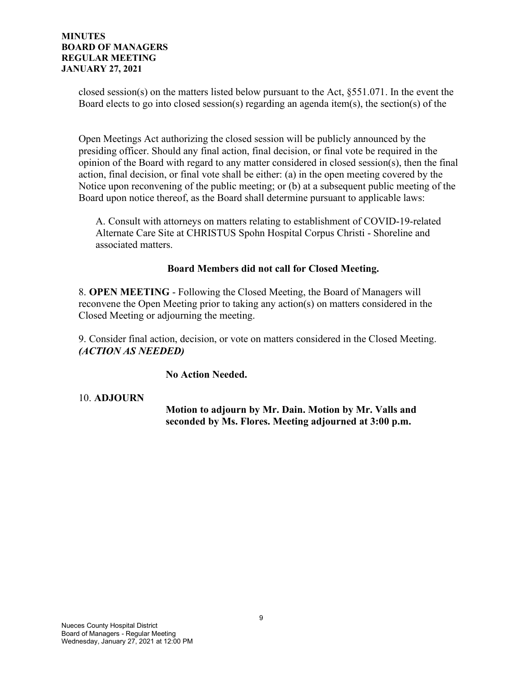closed session(s) on the matters listed below pursuant to the Act, §551.071. In the event the Board elects to go into closed session(s) regarding an agenda item(s), the section(s) of the

Open Meetings Act authorizing the closed session will be publicly announced by the presiding officer. Should any final action, final decision, or final vote be required in the opinion of the Board with regard to any matter considered in closed session(s), then the final action, final decision, or final vote shall be either: (a) in the open meeting covered by the Notice upon reconvening of the public meeting; or (b) at a subsequent public meeting of the Board upon notice thereof, as the Board shall determine pursuant to applicable laws:

A. Consult with attorneys on matters relating to establishment of COVID-19-related Alternate Care Site at CHRISTUS Spohn Hospital Corpus Christi - Shoreline and associated matters.

### **Board Members did not call for Closed Meeting.**

8. **OPEN MEETING** - Following the Closed Meeting, the Board of Managers will reconvene the Open Meeting prior to taking any action(s) on matters considered in the Closed Meeting or adjourning the meeting.

9. Consider final action, decision, or vote on matters considered in the Closed Meeting. *(ACTION AS NEEDED)*

 **No Action Needed.**

#### 10. **ADJOURN**

 **Motion to adjourn by Mr. Dain. Motion by Mr. Valls and seconded by Ms. Flores. Meeting adjourned at 3:00 p.m.**